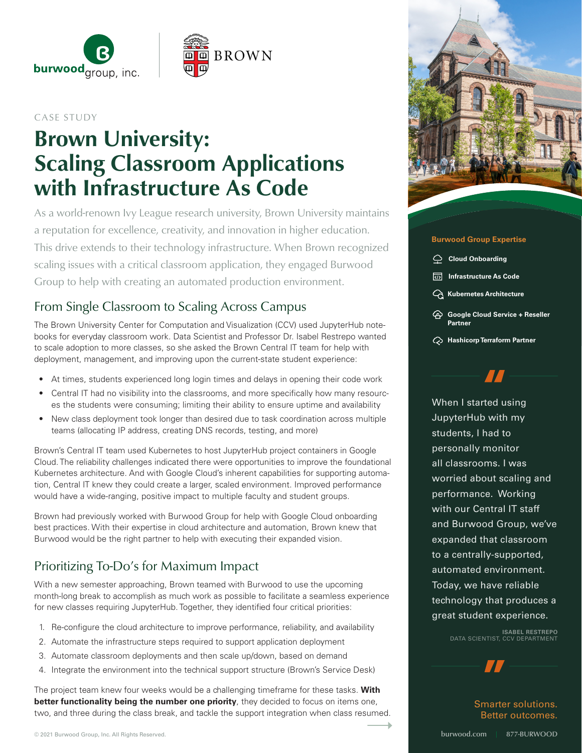

### CASE STUDY

# Brown University: Scaling Classroom Applications with Infrastructure As Code

As a world-renown Ivy League research university, Brown University maintains a reputation for excellence, creativity, and innovation in higher education. This drive extends to their technology infrastructure. When Brown recognized scaling issues with a critical classroom application, they engaged Burwood Group to help with creating an automated production environment.

### From Single Classroom to Scaling Across Campus

The Brown University Center for Computation and Visualization (CCV) used JupyterHub notebooks for everyday classroom work. Data Scientist and Professor Dr. Isabel Restrepo wanted to scale adoption to more classes, so she asked the Brown Central IT team for help with deployment, management, and improving upon the current-state student experience:

- At times, students experienced long login times and delays in opening their code work
- Central IT had no visibility into the classrooms, and more specifically how many resources the students were consuming; limiting their ability to ensure uptime and availability
- New class deployment took longer than desired due to task coordination across multiple teams (allocating IP address, creating DNS records, testing, and more)

Brown's Central IT team used Kubernetes to host JupyterHub project containers in Google Cloud. The reliability challenges indicated there were opportunities to improve the foundational Kubernetes architecture. And with Google Cloud's inherent capabilities for supporting automation, Central IT knew they could create a larger, scaled environment. Improved performance would have a wide-ranging, positive impact to multiple faculty and student groups.

Brown had previously worked with Burwood Group for help with Google Cloud onboarding best practices. With their expertise in cloud architecture and automation, Brown knew that Burwood would be the right partner to help with executing their expanded vision.

### Prioritizing To-Do's for Maximum Impact

With a new semester approaching, Brown teamed with Burwood to use the upcoming month-long break to accomplish as much work as possible to facilitate a seamless experience for new classes requiring JupyterHub. Together, they identified four critical priorities:

- 1. Re-configure the cloud architecture to improve performance, reliability, and availability
- 2. Automate the infrastructure steps required to support application deployment
- 3. Automate classroom deployments and then scale up/down, based on demand
- 4. Integrate the environment into the technical support structure (Brown's Service Desk)

The project team knew four weeks would be a challenging timeframe for these tasks. **With better functionality being the number one priority**, they decided to focus on items one, two, and three during the class break, and tackle the support integration when class resumed.



### **Burwood Group Expertise**

- **Cloud Onboarding**
- **Infrastructure As Code**
- **Kubernetes Architecture**
- **Google Cloud Service + Reseller Partner**
- **Hashicorp Terraform Partner**

When I started using JupyterHub with my students, I had to personally monitor all classrooms. I was worried about scaling and performance. Working with our Central IT staff and Burwood Group, we've expanded that classroom to a centrally-supported, automated environment. Today, we have reliable technology that produces a great student experience.

> **ISABEL RESTREPO** DATA SCIENTIST, CCV DEPARTMENT

> > Smarter solutions. Better outcomes.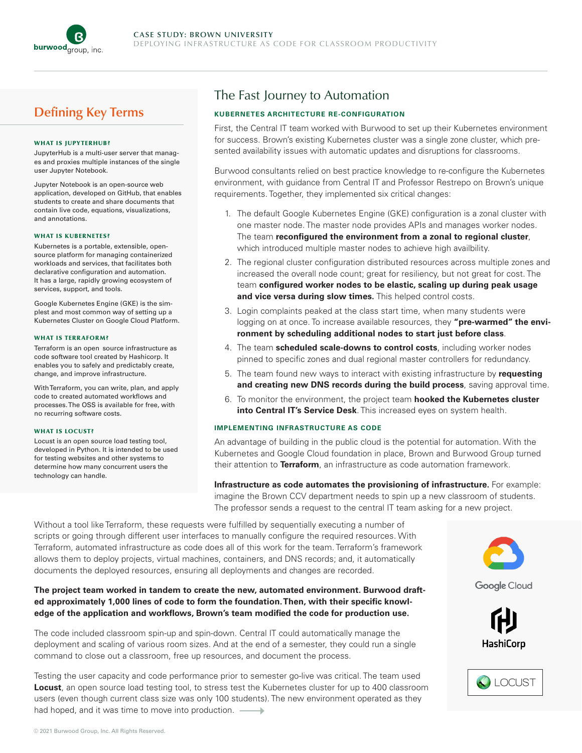

### Defining Key Terms

#### WHAT IS JUPYTERHUB?

JupyterHub is a multi-user server that manages and proxies multiple instances of the single user Jupyter Notebook.

Jupyter Notebook is an open-source web application, developed on GitHub, that enables students to create and share documents that contain live code, equations, visualizations, and annotations.

#### WHAT IS KUBERNETES?

Kubernetes is a portable, extensible, opensource platform for managing containerized workloads and services, that facilitates both declarative configuration and automation. It has a large, rapidly growing ecosystem of services, support, and tools.

Google Kubernetes Engine (GKE) is the simplest and most common way of setting up a Kubernetes Cluster on Google Cloud Platform.

#### WHAT IS TERRAFORM?

Terraform is an open source infrastructure as code software tool created by Hashicorp. It enables you to safely and predictably create, change, and improve infrastructure.

With Terraform, you can write, plan, and apply code to created automated workflows and processes. The OSS is available for free, with no recurring software costs.

#### WHAT IS LOCUST?

Locust is an open source load testing tool, developed in Python. It is intended to be used for testing websites and other systems to determine how many concurrent users the technology can handle.

### The Fast Journey to Automation

### **KUBERNETES ARCHITECTURE RE-CONFIGURATION**

First, the Central IT team worked with Burwood to set up their Kubernetes environment for success. Brown's existing Kubernetes cluster was a single zone cluster, which presented availability issues with automatic updates and disruptions for classrooms.

Burwood consultants relied on best practice knowledge to re-configure the Kubernetes environment, with guidance from Central IT and Professor Restrepo on Brown's unique requirements. Together, they implemented six critical changes:

- 1. The default Google Kubernetes Engine (GKE) configuration is a zonal cluster with one master node. The master node provides APIs and manages worker nodes. The team **reconfigured the environment from a zonal to regional cluster**, which introduced multiple master nodes to achieve high availbility.
- 2. The regional cluster configuration distributed resources across multiple zones and increased the overall node count; great for resiliency, but not great for cost. The team **configured worker nodes to be elastic, scaling up during peak usage and vice versa during slow times.** This helped control costs.
- 3. Login complaints peaked at the class start time, when many students were logging on at once. To increase available resources, they "pre-warmed" the envi**ronment by scheduling additional nodes to start just before class**.
- 4. The team **scheduled scale-downs to control costs**, including worker nodes pinned to specific zones and dual regional master controllers for redundancy.
- 5. The team found new ways to interact with existing infrastructure by **requesting and creating new DNS records during the build process**, saving approval time.
- 6. To monitor the environment, the project team **hooked the Kubernetes cluster into Central IT's Service Desk**. This increased eyes on system health.

#### **IMPLEMENTING INFRASTRUCTURE AS CODE**

An advantage of building in the public cloud is the potential for automation. With the Kubernetes and Google Cloud foundation in place, Brown and Burwood Group turned their attention to **Terraform**, an infrastructure as code automation framework.

**Infrastructure as code automates the provisioning of infrastructure.** For example: imagine the Brown CCV department needs to spin up a new classroom of students. The professor sends a request to the central IT team asking for a new project.

Without a tool like Terraform, these requests were fulfilled by sequentially executing a number of scripts or going through different user interfaces to manually configure the required resources. With Terraform, automated infrastructure as code does all of this work for the team. Terraform's framework allows them to deploy projects, virtual machines, containers, and DNS records; and, it automatically documents the deployed resources, ensuring all deployments and changes are recorded.

**The project team worked in tandem to create the new, automated environment. Burwood drafted approximately 1,000 lines of code to form the foundation. Then, with their specific knowledge of the application and workflows, Brown's team modified the code for production use.** 

The code included classroom spin-up and spin-down. Central IT could automatically manage the deployment and scaling of various room sizes. And at the end of a semester, they could run a single command to close out a classroom, free up resources, and document the process.

Testing the user capacity and code performance prior to semester go-live was critical. The team used **Locust**, an open source load testing tool, to stress test the Kubernetes cluster for up to 400 classroom users (even though current class size was only 100 students). The new environment operated as they had hoped, and it was time to move into production.



Google Cloud